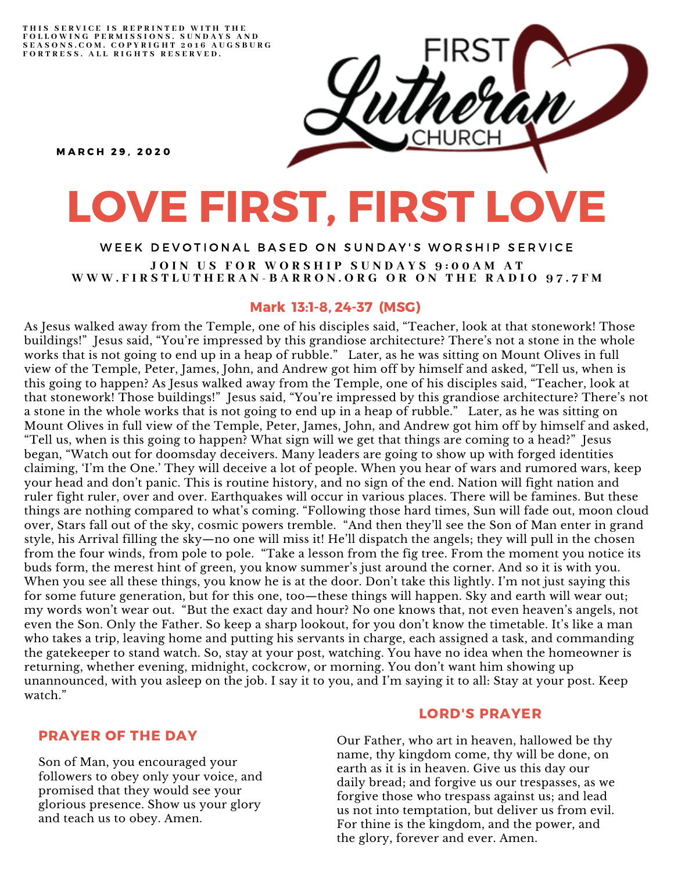THIS SERVICE IS REPRINTED WITH THE<br>FOLLOWING PERMISSIONS. SUNDAYS AND<br>SEASONS.COM. COPYRIGHT 2016 AUGSBURG FORTRESS. ALL RIGHTS RESERVED.



M A R C H 2 9 , 2 0 2 0

# LOVE FIRST, FIRST LOVE

### WEEK DEVOTIONAL BASED ON SUNDAY'S WORSHIP SERVICE JOIN US FOR WORSHIP SUNDAYS 9:00AM AT WWW.FIRSTLUTHERAN-BARRON.ORG OR ON THE RADIO 97.7FM

#### Mark 13:1-8, 24-37 (MSG)

As Jesus walked away from the Temple, one of his disciples said, "Teacher, look at that stonework! Those buildings!" Jesus said, "You're impressed by this grandiose architecture? There's not a stone in the whole works that is not going to end up in a heap of rubble." Later, as he was sitting on Mount Olives in full view of the Temple, Peter, James, John, and Andrew got him off by himself and asked, "Tell us, when is this going to happen? As Jesus walked away from the Temple, one of his disciples said, "Teacher, look at that stonework! Those buildings!" Jesus said, "You're impressed by this grandiose architecture? There's not a stone in the whole works that is not going to end up in a heap of rubble." Later, as he was sitting on Mount Olives in full view of the Temple, Peter, James, John, and Andrew got him off by himself and asked, "Tell us, when is this going to happen? What sign will we get that things are coming to a head?" Jesus began, "Watch out for doomsday deceivers. Many leaders are going to show up with forged identities claiming, 'I'm the One.' They will deceive a lot of people. When you hear of wars and rumored wars, keep your head and don't panic. This is routine history, and no sign of the end. Nation will fight nation and ruler fight ruler, over and over. Earthquakes will occur in various places. There will be famines. But these things are nothing compared to what's coming. "Following those hard times, Sun will fade out, moon cloud over, Stars fall out of the sky, cosmic powers tremble. "And then they'll see the Son of Man enter in grand style, his Arrival filling the sky—no one will miss it! He'll dispatch the angels; they will pull in the chosen from the four winds, from pole to pole. "Take a lesson from the fig tree. From the moment you notice its buds form, the merest hint of green, you know summer's just around the corner. And so it is with you. When you see all these things, you know he is at the door. Don't take this lightly. I'm not just saying this for some future generation, but for this one, too—these things will happen. Sky and earth will wear out; my words won't wear out. "But the exact day and hour? No one knows that, not even heaven's angels, not even the Son. Only the Father. So keep a sharp lookout, for you don't know the timetable. It's like a man who takes a trip, leaving home and putting his servants in charge, each assigned a task, and commanding the gatekeeper to stand watch. So, stay at your post, watching. You have no idea when the homeowner is returning, whether evening, midnight, cockcrow, or morning. You don't want him showing up unannounced, with you asleep on the job. I say it to you, and I'm saying it to all: Stay at your post. Keep watch."

#### PRAYER OF THE DAY

Son of Man, you encouraged your followers to obey only your voice, and promised that they would see your glorious presence. Show us your glory and teach us to obey. Amen.

#### LORD'S PRAYER

Our Father, who art in heaven, hallowed be thy name, thy kingdom come, thy will be done, on earth as it is in heaven. Give us this day our daily bread; and forgive us our trespasses, as we forgive those who trespass against us; and lead us not into temptation, but deliver us from evil. For thine is the kingdom, and the power, and the glory, forever and ever. Amen.